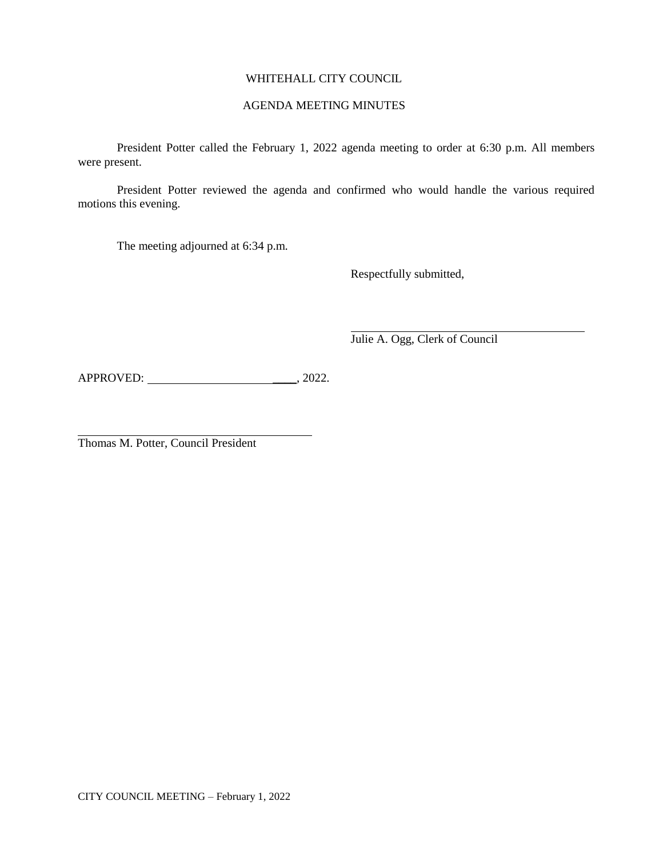# WHITEHALL CITY COUNCIL

# AGENDA MEETING MINUTES

President Potter called the February 1, 2022 agenda meeting to order at 6:30 p.m. All members were present.

President Potter reviewed the agenda and confirmed who would handle the various required motions this evening.

The meeting adjourned at 6:34 p.m.

Respectfully submitted,

Julie A. Ogg, Clerk of Council

APPROVED: \_\_\_\_, 2022.

Thomas M. Potter, Council President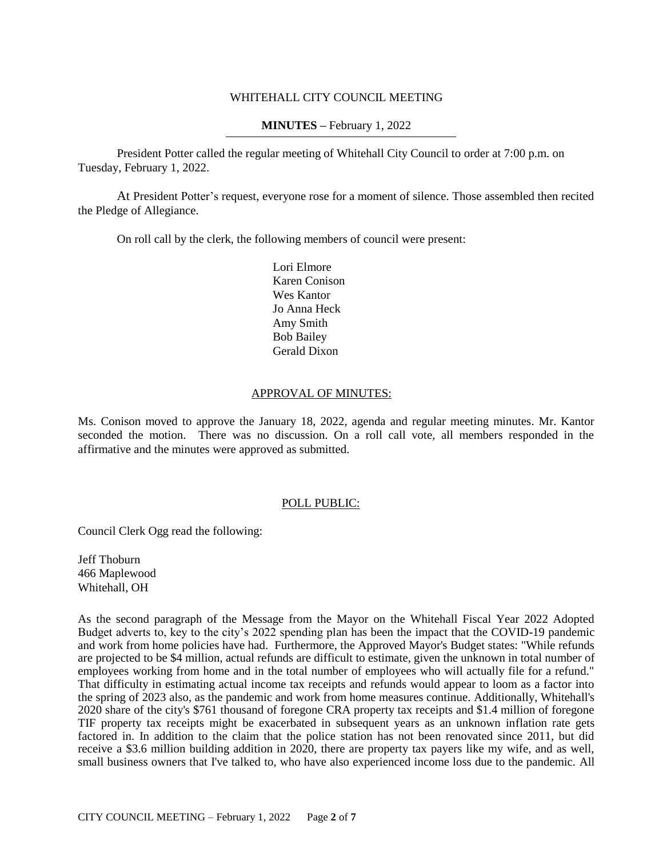## WHITEHALL CITY COUNCIL MEETING

# **MINUTES –** February 1, 2022

President Potter called the regular meeting of Whitehall City Council to order at 7:00 p.m. on Tuesday, February 1, 2022.

At President Potter's request, everyone rose for a moment of silence. Those assembled then recited the Pledge of Allegiance.

On roll call by the clerk, the following members of council were present:

Lori Elmore Karen Conison Wes Kantor Jo Anna Heck Amy Smith Bob Bailey Gerald Dixon

# APPROVAL OF MINUTES:

Ms. Conison moved to approve the January 18, 2022, agenda and regular meeting minutes. Mr. Kantor seconded the motion. There was no discussion. On a roll call vote, all members responded in the affirmative and the minutes were approved as submitted.

#### POLL PUBLIC:

Council Clerk Ogg read the following:

Jeff Thoburn 466 Maplewood Whitehall, OH

As the second paragraph of the Message from the Mayor on the Whitehall Fiscal Year 2022 Adopted Budget adverts to, key to the city's 2022 spending plan has been the impact that the COVID-19 pandemic and work from home policies have had. Furthermore, the Approved Mayor's Budget states: "While refunds are projected to be \$4 million, actual refunds are difficult to estimate, given the unknown in total number of employees working from home and in the total number of employees who will actually file for a refund." That difficulty in estimating actual income tax receipts and refunds would appear to loom as a factor into the spring of 2023 also, as the pandemic and work from home measures continue. Additionally, Whitehall's 2020 share of the city's \$761 thousand of foregone CRA property tax receipts and \$1.4 million of foregone TIF property tax receipts might be exacerbated in subsequent years as an unknown inflation rate gets factored in. In addition to the claim that the police station has not been renovated since 2011, but did receive a \$3.6 million building addition in 2020, there are property tax payers like my wife, and as well, small business owners that I've talked to, who have also experienced income loss due to the pandemic. All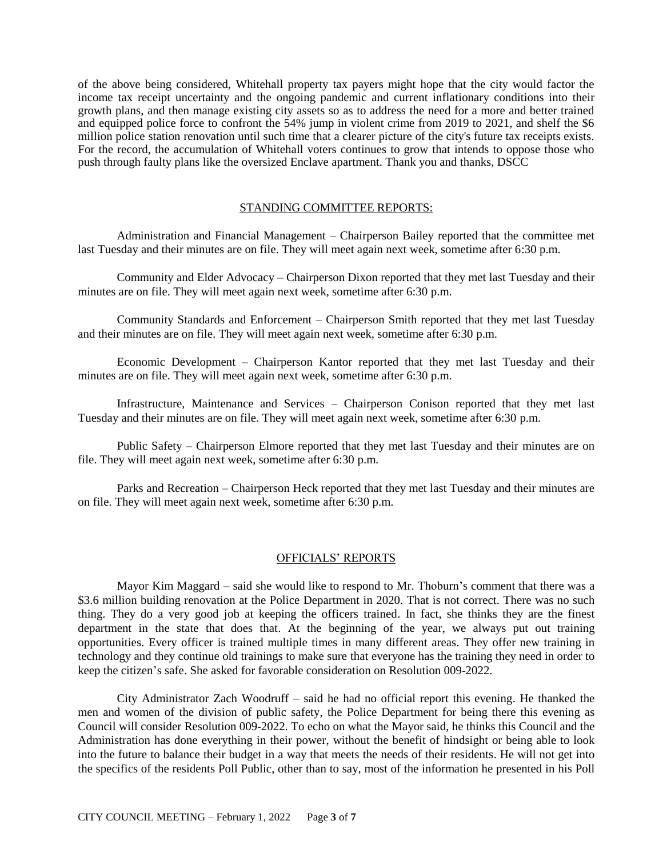of the above being considered, Whitehall property tax payers might hope that the city would factor the income tax receipt uncertainty and the ongoing pandemic and current inflationary conditions into their growth plans, and then manage existing city assets so as to address the need for a more and better trained and equipped police force to confront the 54% jump in violent crime from 2019 to 2021, and shelf the \$6 million police station renovation until such time that a clearer picture of the city's future tax receipts exists. For the record, the accumulation of Whitehall voters continues to grow that intends to oppose those who push through faulty plans like the oversized Enclave apartment. Thank you and thanks, DSCC

# STANDING COMMITTEE REPORTS:

Administration and Financial Management – Chairperson Bailey reported that the committee met last Tuesday and their minutes are on file. They will meet again next week, sometime after 6:30 p.m.

Community and Elder Advocacy – Chairperson Dixon reported that they met last Tuesday and their minutes are on file. They will meet again next week, sometime after 6:30 p.m.

Community Standards and Enforcement – Chairperson Smith reported that they met last Tuesday and their minutes are on file. They will meet again next week, sometime after 6:30 p.m.

Economic Development – Chairperson Kantor reported that they met last Tuesday and their minutes are on file. They will meet again next week, sometime after 6:30 p.m.

Infrastructure, Maintenance and Services – Chairperson Conison reported that they met last Tuesday and their minutes are on file. They will meet again next week, sometime after 6:30 p.m.

Public Safety – Chairperson Elmore reported that they met last Tuesday and their minutes are on file. They will meet again next week, sometime after 6:30 p.m.

Parks and Recreation – Chairperson Heck reported that they met last Tuesday and their minutes are on file. They will meet again next week, sometime after 6:30 p.m.

### OFFICIALS' REPORTS

Mayor Kim Maggard – said she would like to respond to Mr. Thoburn's comment that there was a \$3.6 million building renovation at the Police Department in 2020. That is not correct. There was no such thing. They do a very good job at keeping the officers trained. In fact, she thinks they are the finest department in the state that does that. At the beginning of the year, we always put out training opportunities. Every officer is trained multiple times in many different areas. They offer new training in technology and they continue old trainings to make sure that everyone has the training they need in order to keep the citizen's safe. She asked for favorable consideration on Resolution 009-2022.

City Administrator Zach Woodruff – said he had no official report this evening. He thanked the men and women of the division of public safety, the Police Department for being there this evening as Council will consider Resolution 009-2022. To echo on what the Mayor said, he thinks this Council and the Administration has done everything in their power, without the benefit of hindsight or being able to look into the future to balance their budget in a way that meets the needs of their residents. He will not get into the specifics of the residents Poll Public, other than to say, most of the information he presented in his Poll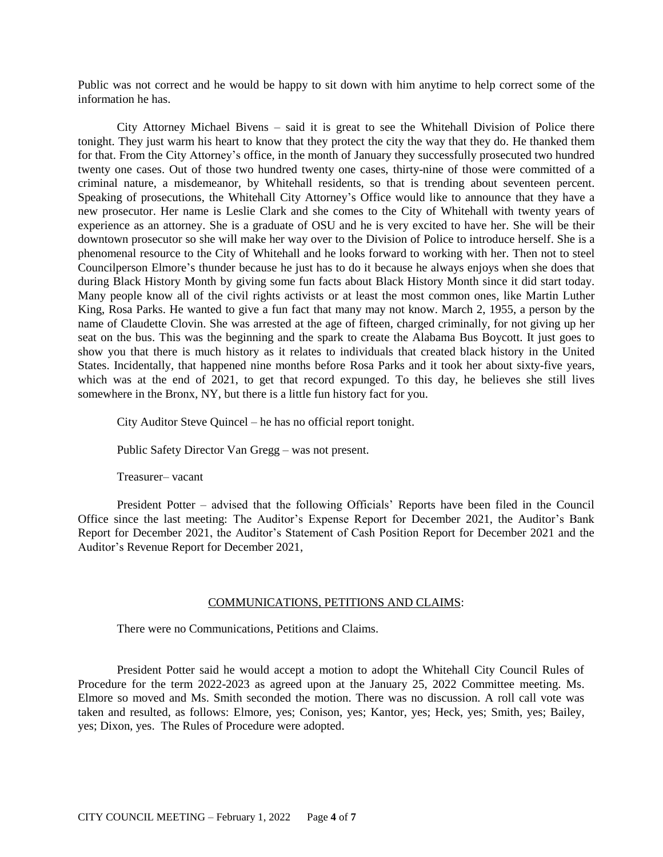Public was not correct and he would be happy to sit down with him anytime to help correct some of the information he has.

City Attorney Michael Bivens – said it is great to see the Whitehall Division of Police there tonight. They just warm his heart to know that they protect the city the way that they do. He thanked them for that. From the City Attorney's office, in the month of January they successfully prosecuted two hundred twenty one cases. Out of those two hundred twenty one cases, thirty-nine of those were committed of a criminal nature, a misdemeanor, by Whitehall residents, so that is trending about seventeen percent. Speaking of prosecutions, the Whitehall City Attorney's Office would like to announce that they have a new prosecutor. Her name is Leslie Clark and she comes to the City of Whitehall with twenty years of experience as an attorney. She is a graduate of OSU and he is very excited to have her. She will be their downtown prosecutor so she will make her way over to the Division of Police to introduce herself. She is a phenomenal resource to the City of Whitehall and he looks forward to working with her. Then not to steel Councilperson Elmore's thunder because he just has to do it because he always enjoys when she does that during Black History Month by giving some fun facts about Black History Month since it did start today. Many people know all of the civil rights activists or at least the most common ones, like Martin Luther King, Rosa Parks. He wanted to give a fun fact that many may not know. March 2, 1955, a person by the name of Claudette Clovin. She was arrested at the age of fifteen, charged criminally, for not giving up her seat on the bus. This was the beginning and the spark to create the Alabama Bus Boycott. It just goes to show you that there is much history as it relates to individuals that created black history in the United States. Incidentally, that happened nine months before Rosa Parks and it took her about sixty-five years, which was at the end of 2021, to get that record expunged. To this day, he believes she still lives somewhere in the Bronx, NY, but there is a little fun history fact for you.

City Auditor Steve Quincel – he has no official report tonight.

Public Safety Director Van Gregg – was not present.

Treasurer– vacant

President Potter – advised that the following Officials' Reports have been filed in the Council Office since the last meeting: The Auditor's Expense Report for December 2021, the Auditor's Bank Report for December 2021, the Auditor's Statement of Cash Position Report for December 2021 and the Auditor's Revenue Report for December 2021,

#### COMMUNICATIONS, PETITIONS AND CLAIMS:

There were no Communications, Petitions and Claims.

President Potter said he would accept a motion to adopt the Whitehall City Council Rules of Procedure for the term 2022-2023 as agreed upon at the January 25, 2022 Committee meeting. Ms. Elmore so moved and Ms. Smith seconded the motion. There was no discussion. A roll call vote was taken and resulted, as follows: Elmore, yes; Conison, yes; Kantor, yes; Heck, yes; Smith, yes; Bailey, yes; Dixon, yes. The Rules of Procedure were adopted.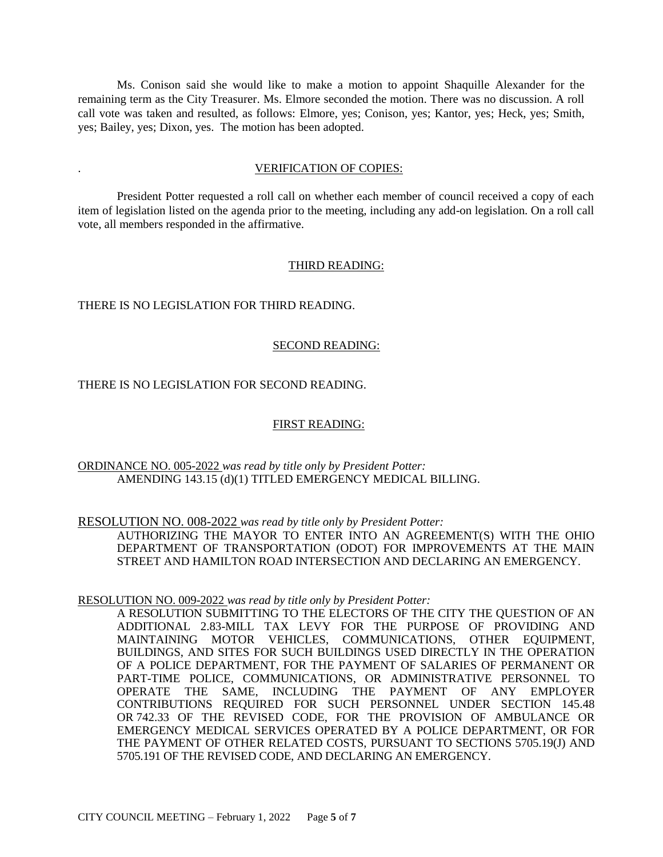Ms. Conison said she would like to make a motion to appoint Shaquille Alexander for the remaining term as the City Treasurer. Ms. Elmore seconded the motion. There was no discussion. A roll call vote was taken and resulted, as follows: Elmore, yes; Conison, yes; Kantor, yes; Heck, yes; Smith, yes; Bailey, yes; Dixon, yes. The motion has been adopted.

### . VERIFICATION OF COPIES:

President Potter requested a roll call on whether each member of council received a copy of each item of legislation listed on the agenda prior to the meeting, including any add-on legislation. On a roll call vote, all members responded in the affirmative.

# THIRD READING:

# THERE IS NO LEGISLATION FOR THIRD READING.

## SECOND READING:

## THERE IS NO LEGISLATION FOR SECOND READING.

## FIRST READING:

# ORDINANCE NO. 005-2022 *was read by title only by President Potter:* AMENDING 143.15 (d)(1) TITLED EMERGENCY MEDICAL BILLING.

#### RESOLUTION NO. 008-2022 *was read by title only by President Potter:*

AUTHORIZING THE MAYOR TO ENTER INTO AN AGREEMENT(S) WITH THE OHIO DEPARTMENT OF TRANSPORTATION (ODOT) FOR IMPROVEMENTS AT THE MAIN STREET AND HAMILTON ROAD INTERSECTION AND DECLARING AN EMERGENCY.

#### RESOLUTION NO. 009-2022 *was read by title only by President Potter:*

A RESOLUTION SUBMITTING TO THE ELECTORS OF THE CITY THE QUESTION OF AN ADDITIONAL 2.83-MILL TAX LEVY FOR THE PURPOSE OF PROVIDING AND MAINTAINING MOTOR VEHICLES, COMMUNICATIONS, OTHER EQUIPMENT, BUILDINGS, AND SITES FOR SUCH BUILDINGS USED DIRECTLY IN THE OPERATION OF A POLICE DEPARTMENT, FOR THE PAYMENT OF SALARIES OF PERMANENT OR PART-TIME POLICE, COMMUNICATIONS, OR ADMINISTRATIVE PERSONNEL TO OPERATE THE SAME, INCLUDING THE PAYMENT OF ANY EMPLOYER CONTRIBUTIONS REQUIRED FOR SUCH PERSONNEL UNDER SECTION 145.48 OR 742.33 OF THE REVISED CODE, FOR THE PROVISION OF AMBULANCE OR EMERGENCY MEDICAL SERVICES OPERATED BY A POLICE DEPARTMENT, OR FOR THE PAYMENT OF OTHER RELATED COSTS, PURSUANT TO SECTIONS 5705.19(J) AND 5705.191 OF THE REVISED CODE, AND DECLARING AN EMERGENCY.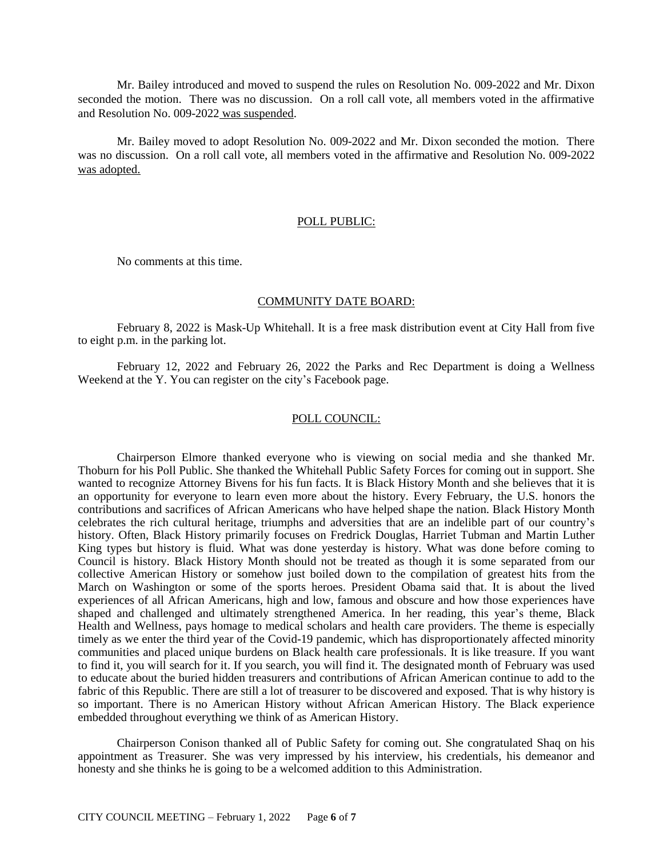Mr. Bailey introduced and moved to suspend the rules on Resolution No. 009-2022 and Mr. Dixon seconded the motion. There was no discussion. On a roll call vote, all members voted in the affirmative and Resolution No. 009-2022 was suspended.

Mr. Bailey moved to adopt Resolution No. 009-2022 and Mr. Dixon seconded the motion. There was no discussion. On a roll call vote, all members voted in the affirmative and Resolution No. 009-2022 was adopted.

### POLL PUBLIC:

No comments at this time.

### COMMUNITY DATE BOARD:

February 8, 2022 is Mask-Up Whitehall. It is a free mask distribution event at City Hall from five to eight p.m. in the parking lot.

February 12, 2022 and February 26, 2022 the Parks and Rec Department is doing a Wellness Weekend at the Y. You can register on the city's Facebook page.

### POLL COUNCIL:

Chairperson Elmore thanked everyone who is viewing on social media and she thanked Mr. Thoburn for his Poll Public. She thanked the Whitehall Public Safety Forces for coming out in support. She wanted to recognize Attorney Bivens for his fun facts. It is Black History Month and she believes that it is an opportunity for everyone to learn even more about the history. Every February, the U.S. honors the contributions and sacrifices of African Americans who have helped shape the nation. Black History Month celebrates the rich cultural heritage, triumphs and adversities that are an indelible part of our country's history. Often, Black History primarily focuses on Fredrick Douglas, Harriet Tubman and Martin Luther King types but history is fluid. What was done yesterday is history. What was done before coming to Council is history. Black History Month should not be treated as though it is some separated from our collective American History or somehow just boiled down to the compilation of greatest hits from the March on Washington or some of the sports heroes. President Obama said that. It is about the lived experiences of all African Americans, high and low, famous and obscure and how those experiences have shaped and challenged and ultimately strengthened America. In her reading, this year's theme, Black Health and Wellness, pays homage to medical scholars and health care providers. The theme is especially timely as we enter the third year of the Covid-19 pandemic, which has disproportionately affected minority communities and placed unique burdens on Black health care professionals. It is like treasure. If you want to find it, you will search for it. If you search, you will find it. The designated month of February was used to educate about the buried hidden treasurers and contributions of African American continue to add to the fabric of this Republic. There are still a lot of treasurer to be discovered and exposed. That is why history is so important. There is no American History without African American History. The Black experience embedded throughout everything we think of as American History.

Chairperson Conison thanked all of Public Safety for coming out. She congratulated Shaq on his appointment as Treasurer. She was very impressed by his interview, his credentials, his demeanor and honesty and she thinks he is going to be a welcomed addition to this Administration.